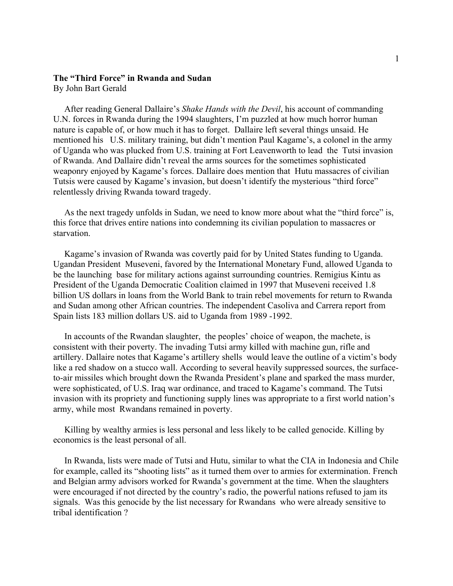## **The "Third Force" in Rwanda and Sudan** By John Bart Gerald

 After reading General Dallaire's *Shake Hands with the Devil*, his account of commanding U.N. forces in Rwanda during the 1994 slaughters, I'm puzzled at how much horror human nature is capable of, or how much it has to forget. Dallaire left several things unsaid. He mentioned his U.S. military training, but didn't mention Paul Kagame's, a colonel in the army of Uganda who was plucked from U.S. training at Fort Leavenworth to lead the Tutsi invasion of Rwanda. And Dallaire didn't reveal the arms sources for the sometimes sophisticated weaponry enjoyed by Kagame's forces. Dallaire does mention that Hutu massacres of civilian Tutsis were caused by Kagame's invasion, but doesn't identify the mysterious "third force" relentlessly driving Rwanda toward tragedy.

 As the next tragedy unfolds in Sudan, we need to know more about what the "third force" is, this force that drives entire nations into condemning its civilian population to massacres or starvation.

 Kagame's invasion of Rwanda was covertly paid for by United States funding to Uganda. Ugandan President Museveni, favored by the International Monetary Fund, allowed Uganda to be the launching base for military actions against surrounding countries. Remigius Kintu as President of the Uganda Democratic Coalition claimed in 1997 that Museveni received 1.8 billion US dollars in loans from the World Bank to train rebel movements for return to Rwanda and Sudan among other African countries. The independent Casoliva and Carrera report from Spain lists 183 million dollars US. aid to Uganda from 1989 -1992.

 In accounts of the Rwandan slaughter, the peoples' choice of weapon, the machete, is consistent with their poverty. The invading Tutsi army killed with machine gun, rifle and artillery. Dallaire notes that Kagame's artillery shells would leave the outline of a victim's body like a red shadow on a stucco wall. According to several heavily suppressed sources, the surfaceto-air missiles which brought down the Rwanda President's plane and sparked the mass murder, were sophisticated, of U.S. Iraq war ordinance, and traced to Kagame's command. The Tutsi invasion with its propriety and functioning supply lines was appropriate to a first world nation's army, while most Rwandans remained in poverty.

 Killing by wealthy armies is less personal and less likely to be called genocide. Killing by economics is the least personal of all.

 In Rwanda, lists were made of Tutsi and Hutu, similar to what the CIA in Indonesia and Chile for example, called its "shooting lists" as it turned them over to armies for extermination. French and Belgian army advisors worked for Rwanda's government at the time. When the slaughters were encouraged if not directed by the country's radio, the powerful nations refused to jam its signals. Was this genocide by the list necessary for Rwandans who were already sensitive to tribal identification ?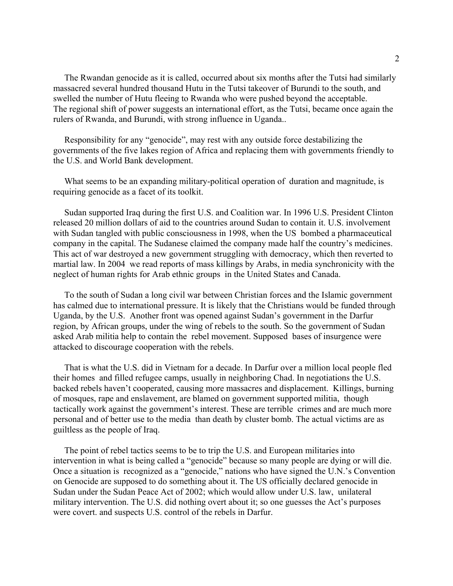The Rwandan genocide as it is called, occurred about six months after the Tutsi had similarly massacred several hundred thousand Hutu in the Tutsi takeover of Burundi to the south, and swelled the number of Hutu fleeing to Rwanda who were pushed beyond the acceptable. The regional shift of power suggests an international effort, as the Tutsi, became once again the rulers of Rwanda, and Burundi, with strong influence in Uganda..

 Responsibility for any "genocide", may rest with any outside force destabilizing the governments of the five lakes region of Africa and replacing them with governments friendly to the U.S. and World Bank development.

 What seems to be an expanding military-political operation of duration and magnitude, is requiring genocide as a facet of its toolkit.

 Sudan supported Iraq during the first U.S. and Coalition war. In 1996 U.S. President Clinton released 20 million dollars of aid to the countries around Sudan to contain it. U.S. involvement with Sudan tangled with public consciousness in 1998, when the US bombed a pharmaceutical company in the capital. The Sudanese claimed the company made half the country's medicines. This act of war destroyed a new government struggling with democracy, which then reverted to martial law. In 2004 we read reports of mass killings by Arabs, in media synchronicity with the neglect of human rights for Arab ethnic groups in the United States and Canada.

 To the south of Sudan a long civil war between Christian forces and the Islamic government has calmed due to international pressure. It is likely that the Christians would be funded through Uganda, by the U.S. Another front was opened against Sudan's government in the Darfur region, by African groups, under the wing of rebels to the south. So the government of Sudan asked Arab militia help to contain the rebel movement. Supposed bases of insurgence were attacked to discourage cooperation with the rebels.

 That is what the U.S. did in Vietnam for a decade. In Darfur over a million local people fled their homes and filled refugee camps, usually in neighboring Chad. In negotiations the U.S. backed rebels haven't cooperated, causing more massacres and displacement. Killings, burning of mosques, rape and enslavement, are blamed on government supported militia, though tactically work against the government's interest. These are terrible crimes and are much more personal and of better use to the media than death by cluster bomb. The actual victims are as guiltless as the people of Iraq.

 The point of rebel tactics seems to be to trip the U.S. and European militaries into intervention in what is being called a "genocide" because so many people are dying or will die. Once a situation is recognized as a "genocide," nations who have signed the U.N.'s Convention on Genocide are supposed to do something about it. The US officially declared genocide in Sudan under the Sudan Peace Act of 2002; which would allow under U.S. law, unilateral military intervention. The U.S. did nothing overt about it; so one guesses the Act's purposes were covert. and suspects U.S. control of the rebels in Darfur.